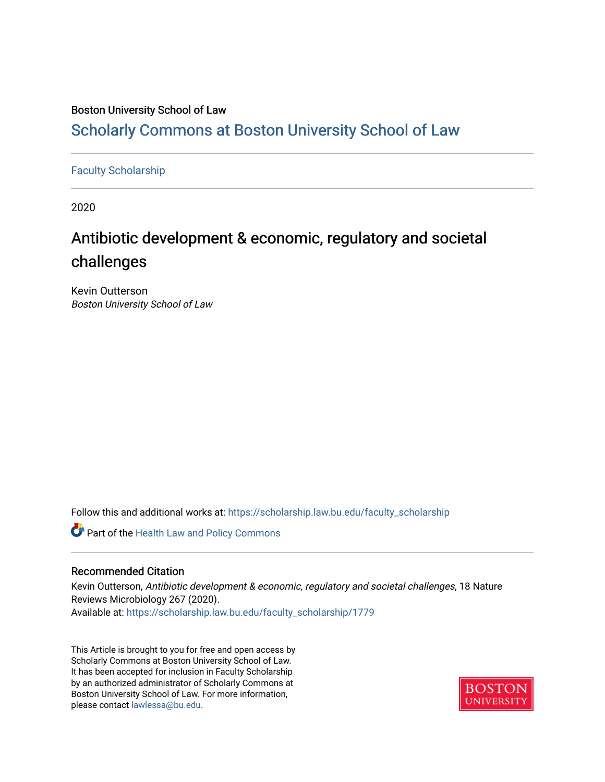### Boston University School of Law

### [Scholarly Commons at Boston University School of Law](https://scholarship.law.bu.edu/)

### [Faculty Scholarship](https://scholarship.law.bu.edu/faculty_scholarship)

2020

### Antibiotic development & economic, regulatory and societal challenges

Kevin Outterson Boston University School of Law

Follow this and additional works at: [https://scholarship.law.bu.edu/faculty\\_scholarship](https://scholarship.law.bu.edu/faculty_scholarship?utm_source=scholarship.law.bu.edu%2Ffaculty_scholarship%2F1779&utm_medium=PDF&utm_campaign=PDFCoverPages)

Part of the [Health Law and Policy Commons](http://network.bepress.com/hgg/discipline/901?utm_source=scholarship.law.bu.edu%2Ffaculty_scholarship%2F1779&utm_medium=PDF&utm_campaign=PDFCoverPages) 

### Recommended Citation

Kevin Outterson, Antibiotic development & economic, regulatory and societal challenges, 18 Nature Reviews Microbiology 267 (2020). Available at: [https://scholarship.law.bu.edu/faculty\\_scholarship/1779](https://scholarship.law.bu.edu/faculty_scholarship/1779?utm_source=scholarship.law.bu.edu%2Ffaculty_scholarship%2F1779&utm_medium=PDF&utm_campaign=PDFCoverPages)

This Article is brought to you for free and open access by Scholarly Commons at Boston University School of Law. It has been accepted for inclusion in Faculty Scholarship by an authorized administrator of Scholarly Commons at Boston University School of Law. For more information, please contact [lawlessa@bu.edu](mailto:lawlessa@bu.edu).

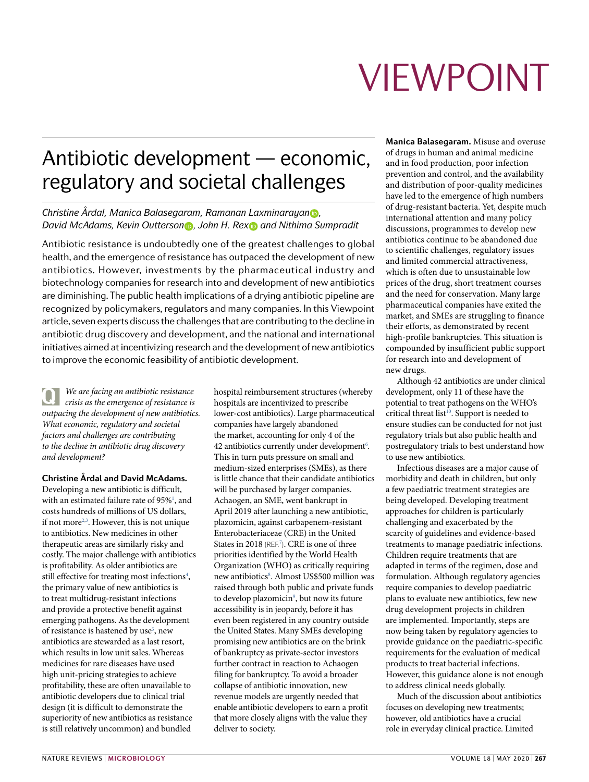# **VIEWPOINT**

## Antibiotic development — economic, regulatory and societal challenges

### *Christine Årdal, Manica Balasegaram, Ramanan Laxminarayan ,*  **David McAdams, Kevin Outterson**, John H. Rex and Nithima Sumpradit

Antibiotic resistance is undoubtedly one of the greatest challenges to global health, and the emergence of resistance has outpaced the development of new antibiotics. However, investments by the pharmaceutical industry and biotechnology companies for research into and development of new antibiotics are diminishing. The public health implications of a drying antibiotic pipeline are recognized by policymakers, regulators and many companies. In this Viewpoint article, seven experts discuss the challenges that are contributing to the decline in antibiotic drug discovery and development, and the national and international initiatives aimed at incentivizing research and the development of new antibiotics to improve the economic feasibility of antibiotic development.

*We are facing an antibiotic resistance crisis as the emergence of resistance is outpacing the development of new antibiotics. What economic, regulatory and societal factors and challenges are contributing to the decline in antibiotic drug discovery and development?*

### **Christine Årdal and David McAdams.**

Developing a new antibiotic is difficult, with an estimated failure rate of  $95\%^1$ , and costs hundreds of millions of US dollars, if not more2,3 . However, this is not unique to antibiotics. New medicines in other therapeutic areas are similarly risky and costly. The major challenge with antibiotics is profitability. As older antibiotics are still effective for treating most infections<sup>4</sup>, the primary value of new antibiotics is to treat multidrug-resistant infections and provide a protective benefit against emerging pathogens. As the development of resistance is hastened by use<sup>5</sup>, new antibiotics are stewarded as a last resort, which results in low unit sales. Whereas medicines for rare diseases have used high unit-pricing strategies to achieve profitability, these are often unavailable to antibiotic developers due to clinical trial design (it is difficult to demonstrate the superiority of new antibiotics as resistance is still relatively uncommon) and bundled

hospital reimbursement structures (whereby hospitals are incentivized to prescribe lower-cost antibiotics). Large pharmaceutical companies have largely abandoned the market, accounting for only 4 of the 42 antibiotics currently under development<sup>6</sup>. This in turn puts pressure on small and medium-sized enterprises (SMEs), as there is little chance that their candidate antibiotics will be purchased by larger companies. Achaogen, an SME, went bankrupt in April 2019 after launching a new antibiotic, plazomicin, against carbapenem-resistant Enterobacteriaceae (CRE) in the United States in 2018 (REF.<sup>7</sup>). CRE is one of three priorities identified by the World Health Organization (WHO) as critically requiring new antibiotics<sup>8</sup>. Almost US\$500 million was raised through both public and private funds to develop plazomicin<sup>9</sup>, but now its future accessibility is in jeopardy, before it has even been registered in any country outside the United States. Many SMEs developing promising new antibiotics are on the brink of bankruptcy as private-sector investors further contract in reaction to Achaogen filing for bankruptcy. To avoid a broader collapse of antibiotic innovation, new revenue models are urgently needed that enable antibiotic developers to earn a profit that more closely aligns with the value they deliver to society.

**Manica Balasegaram.** Misuse and overuse of drugs in human and animal medicine and in food production, poor infection prevention and control, and the availability and distribution of poor-quality medicines have led to the emergence of high numbers of drug-resistant bacteria. Yet, despite much international attention and many policy discussions, programmes to develop new antibiotics continue to be abandoned due to scientific challenges, regulatory issues and limited commercial attractiveness, which is often due to unsustainable low prices of the drug, short treatment courses and the need for conservation. Many large pharmaceutical companies have exited the market, and SMEs are struggling to finance their efforts, as demonstrated by recent high-profile bankruptcies. This situation is compounded by insufficient public support for research into and development of new drugs.

Although 42 antibiotics are under clinical development, only 11 of these have the potential to treat pathogens on the WHO's critical threat list<sup>10</sup>. Support is needed to ensure studies can be conducted for not just regulatory trials but also public health and postregulatory trials to best understand how to use new antibiotics.

Infectious diseases are a major cause of morbidity and death in children, but only a few paediatric treatment strategies are being developed. Developing treatment approaches for children is particularly challenging and exacerbated by the scarcity of guidelines and evidence-based treatments to manage paediatric infections. Children require treatments that are adapted in terms of the regimen, dose and formulation. Although regulatory agencies require companies to develop paediatric plans to evaluate new antibiotics, few new drug development projects in children are implemented. Importantly, steps are now being taken by regulatory agencies to provide guidance on the paediatric-specific requirements for the evaluation of medical products to treat bacterial infections. However, this guidance alone is not enough to address clinical needs globally.

Much of the discussion about antibiotics focuses on developing new treatments; however, old antibiotics have a crucial role in everyday clinical practice. Limited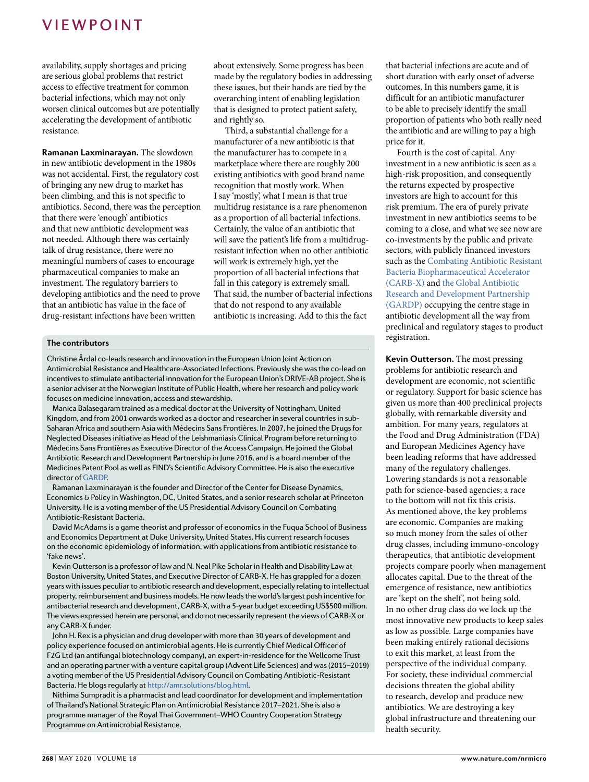availability, supply shortages and pricing are serious global problems that restrict access to effective treatment for common bacterial infections, which may not only worsen clinical outcomes but are potentially accelerating the development of antibiotic resistance.

**Ramanan Laxminarayan.** The slowdown in new antibiotic development in the 1980s was not accidental. First, the regulatory cost of bringing any new drug to market has been climbing, and this is not specific to antibiotics. Second, there was the perception that there were 'enough' antibiotics and that new antibiotic development was not needed. Although there was certainly talk of drug resistance, there were no meaningful numbers of cases to encourage pharmaceutical companies to make an investment. The regulatory barriers to developing antibiotics and the need to prove that an antibiotic has value in the face of drug-resistant infections have been written

about extensively. Some progress has been made by the regulatory bodies in addressing these issues, but their hands are tied by the overarching intent of enabling legislation that is designed to protect patient safety, and rightly so.

Third, a substantial challenge for a manufacturer of a new antibiotic is that the manufacturer has to compete in a marketplace where there are roughly 200 existing antibiotics with good brand name recognition that mostly work. When I say 'mostly', what I mean is that true multidrug resistance is a rare phenomenon as a proportion of all bacterial infections. Certainly, the value of an antibiotic that will save the patient's life from a multidrugresistant infection when no other antibiotic will work is extremely high, yet the proportion of all bacterial infections that fall in this category is extremely small. That said, the number of bacterial infections that do not respond to any available antibiotic is increasing. Add to this the fact

#### **The contributors**

Christine Årdal co-leads research and innovation in the European Union Joint Action on Antimicrobial Resistance and Healthcare-Associated Infections. Previously she was the co-lead on incentives to stimulate antibacterial innovation for the European Union's DRIVE-AB project. She is a senior adviser at the Norwegian Institute of Public Health, where her research and policy work focuses on medicine innovation, access and stewardship.

Manica Balasegaram trained as a medical doctor at the University of Nottingham, United Kingdom, and from 2001 onwards worked as a doctor and researcher in several countries in sub-Saharan Africa and southern Asia with Médecins Sans Frontières. In 2007, he joined the Drugs for Neglected Diseases initiative as Head of the Leishmaniasis Clinical Program before returning to Médecins Sans Frontières as Executive Director of the Access Campaign. He joined the Global Antibiotic Research and Development Partnership in June 2016, and is a board member of the Medicines Patent Pool as well as FIND's Scientific Advisory Committee. He is also the executive director of GARDP.

Ramanan Laxminarayan is the founder and Director of the Center for Disease Dynamics, Economics & Policy in Washington, DC, United States, and a senior research scholar at Princeton University. He is a voting member of the US Presidential Advisory Council on Combating Antibiotic-Resistant Bacteria.

David McAdams is a game theorist and professor of economics in the Fuqua School of Business and Economics Department at Duke University, United States. His current research focuses on the economic epidemiology of information, with applications from antibiotic resistance to 'fake news'.

Kevin Outterson is a professor of law and N. Neal Pike Scholar in Health and Disability Law at Boston University, United States, and Executive Director of CARB-X. He has grappled for a dozen years with issues peculiar to antibiotic research and development, especially relating to intellectual property, reimbursement and business models. He now leads the world's largest push incentive for antibacterial research and development, CARB-X, with a 5-year budget exceeding US\$500 million. The views expressed herein are personal, and do not necessarily represent the views of CARB-X or any CARB-X funder.

John H. Rex is a physician and drug developer with more than 30 years of development and policy experience focused on antimicrobial agents. He is currently Chief Medical Officer of F2G Ltd (an antifungal biotechnology company), an expert-in-residence for the Wellcome Trust and an operating partner with a venture capital group (Advent Life Sciences) and was (2015–2019) a voting member of the US Presidential Advisory Council on Combating Antibiotic-Resistant Bacteria. He blogs regularly at http://amr.solutions/blog.html.

Nithima Sumpradit is a pharmacist and lead coordinator for development and implementation of Thailand's National Strategic Plan on Antimicrobial Resistance 2017–2021. She is also a programme manager of the Royal Thai Government–WHO Country Cooperation Strategy Programme on Antimicrobial Resistance.

that bacterial infections are acute and of short duration with early onset of adverse outcomes. In this numbers game, it is difficult for an antibiotic manufacturer to be able to precisely identify the small proportion of patients who both really need the antibiotic and are willing to pay a high price for it.

Fourth is the cost of capital. Any investment in a new antibiotic is seen as a high-risk proposition, and consequently the returns expected by prospective investors are high to account for this risk premium. The era of purely private investment in new antibiotics seems to be coming to a close, and what we see now are co-investments by the public and private sectors, with publicly financed investors such as the Combating Antibiotic Resistant Bacteria Biopharmaceutical Accelerator (CARB-X) and the Global Antibiotic Research and Development Partnership (GARDP) occupying the centre stage in antibiotic development all the way from preclinical and regulatory stages to product registration.

**Kevin Outterson.** The most pressing problems for antibiotic research and development are economic, not scientific or regulatory. Support for basic science has given us more than 400 preclinical projects globally, with remarkable diversity and ambition. For many years, regulators at the Food and Drug Administration (FDA) and European Medicines Agency have been leading reforms that have addressed many of the regulatory challenges. Lowering standards is not a reasonable path for science-based agencies; a race to the bottom will not fix this crisis. As mentioned above, the key problems are economic. Companies are making so much money from the sales of other drug classes, including immuno-oncology therapeutics, that antibiotic development projects compare poorly when management allocates capital. Due to the threat of the emergence of resistance, new antibiotics are 'kept on the shelf', not being sold. In no other drug class do we lock up the most innovative new products to keep sales as low as possible. Large companies have been making entirely rational decisions to exit this market, at least from the perspective of the individual company. For society, these individual commercial decisions threaten the global ability to research, develop and produce new antibiotics. We are destroying a key global infrastructure and threatening our health security.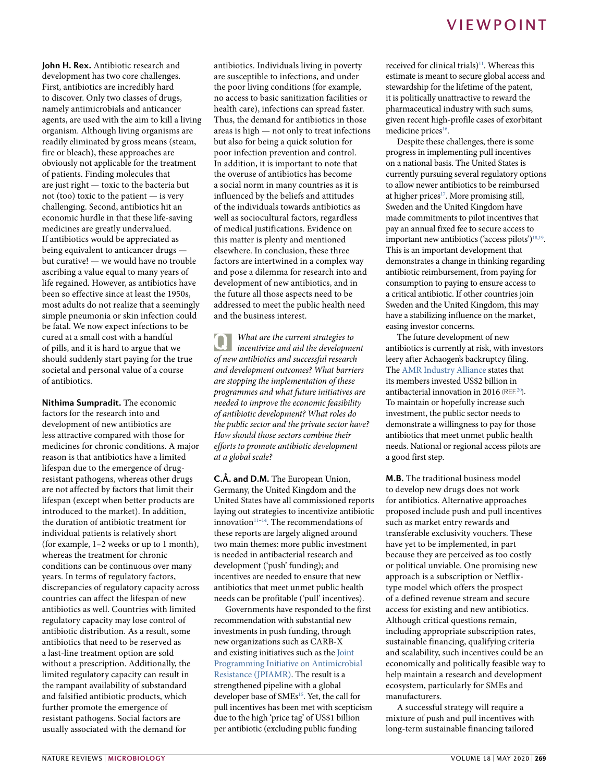**John H. Rex.** Antibiotic research and development has two core challenges. First, antibiotics are incredibly hard to discover. Only two classes of drugs, namely antimicrobials and anticancer agents, are used with the aim to kill a living organism. Although living organisms are readily eliminated by gross means (steam, fire or bleach), these approaches are obviously not applicable for the treatment of patients. Finding molecules that are just right — toxic to the bacteria but not (too) toxic to the patient — is very challenging. Second, antibiotics hit an economic hurdle in that these life-saving medicines are greatly undervalued. If antibiotics would be appreciated as being equivalent to anticancer drugs but curative! — we would have no trouble ascribing a value equal to many years of life regained. However, as antibiotics have been so effective since at least the 1950s, most adults do not realize that a seemingly simple pneumonia or skin infection could be fatal. We now expect infections to be cured at a small cost with a handful of pills, and it is hard to argue that we should suddenly start paying for the true societal and personal value of a course of antibiotics.

**Nithima Sumpradit.** The economic factors for the research into and development of new antibiotics are less attractive compared with those for medicines for chronic conditions. A major reason is that antibiotics have a limited lifespan due to the emergence of drugresistant pathogens, whereas other drugs are not affected by factors that limit their lifespan (except when better products are introduced to the market). In addition, the duration of antibiotic treatment for individual patients is relatively short (for example, 1–2 weeks or up to 1 month), whereas the treatment for chronic conditions can be continuous over many years. In terms of regulatory factors, discrepancies of regulatory capacity across countries can affect the lifespan of new antibiotics as well. Countries with limited regulatory capacity may lose control of antibiotic distribution. As a result, some antibiotics that need to be reserved as a last-line treatment option are sold without a prescription. Additionally, the limited regulatory capacity can result in the rampant availability of substandard and falsified antibiotic products, which further promote the emergence of resistant pathogens. Social factors are usually associated with the demand for

antibiotics. Individuals living in poverty are susceptible to infections, and under the poor living conditions (for example, no access to basic sanitization facilities or health care), infections can spread faster. Thus, the demand for antibiotics in those areas is high — not only to treat infections but also for being a quick solution for poor infection prevention and control. In addition, it is important to note that the overuse of antibiotics has become a social norm in many countries as it is influenced by the beliefs and attitudes of the individuals towards antibiotics as well as sociocultural factors, regardless of medical justifications. Evidence on this matter is plenty and mentioned elsewhere. In conclusion, these three factors are intertwined in a complex way and pose a dilemma for research into and development of new antibiotics, and in the future all those aspects need to be addressed to meet the public health need and the business interest.

*What are the current strategies to incentivize and aid the development of new antibiotics and successful research and development outcomes? What barriers are stopping the implementation of these programmes and what future initiatives are needed to improve the economic feasibility of antibiotic development? What roles do the public sector and the private sector have? How should those sectors combine their efforts to promote antibiotic development at a global scale?*

**C.Å. and D.M.** The European Union, Germany, the United Kingdom and the United States have all commissioned reports laying out strategies to incentivize antibiotic innovation $11-14$ . The recommendations of these reports are largely aligned around two main themes: more public investment is needed in antibacterial research and development ('push' funding); and incentives are needed to ensure that new antibiotics that meet unmet public health needs can be profitable ('pull' incentives).

Governments have responded to the first recommendation with substantial new investments in push funding, through new organizations such as CARB-X and existing initiatives such as the Joint Programming Initiative on Antimicrobial Resistance (JPIAMR). The result is a strengthened pipeline with a global developer base of SMEs<sup>15</sup>. Yet, the call for pull incentives has been met with scepticism due to the high 'price tag' of US\$1 billion per antibiotic (excluding public funding

received for clinical trials) $11$ . Whereas this estimate is meant to secure global access and stewardship for the lifetime of the patent, it is politically unattractive to reward the pharmaceutical industry with such sums, given recent high-profile cases of exorbitant medicine prices<sup>16</sup>.

Despite these challenges, there is some progress in implementing pull incentives on a national basis. The United States is currently pursuing several regulatory options to allow newer antibiotics to be reimbursed at higher prices<sup>17</sup>. More promising still, Sweden and the United Kingdom have made commitments to pilot incentives that pay an annual fixed fee to secure access to important new antibiotics ('access pilots') $18,19$ . This is an important development that demonstrates a change in thinking regarding antibiotic reimbursement, from paying for consumption to paying to ensure access to a critical antibiotic. If other countries join Sweden and the United Kingdom, this may have a stabilizing influence on the market, easing investor concerns.

The future development of new antibiotics is currently at risk, with investors leery after Achaogen's backruptcy filing. The AMR Industry Alliance states that its members invested US\$2 billion in antibacterial innovation in 2016 (REF $20$ ). To maintain or hopefully increase such investment, the public sector needs to demonstrate a willingness to pay for those antibiotics that meet unmet public health needs. National or regional access pilots are a good first step.

**M.B.** The traditional business model to develop new drugs does not work for antibiotics. Alternative approaches proposed include push and pull incentives such as market entry rewards and transferable exclusivity vouchers. These have yet to be implemented, in part because they are perceived as too costly or political unviable. One promising new approach is a subscription or Netflixtype model which offers the prospect of a defined revenue stream and secure access for existing and new antibiotics. Although critical questions remain, including appropriate subscription rates, sustainable financing, qualifying criteria and scalability, such incentives could be an economically and politically feasible way to help maintain a research and development ecosystem, particularly for SMEs and manufacturers.

A successful strategy will require a mixture of push and pull incentives with long-term sustainable financing tailored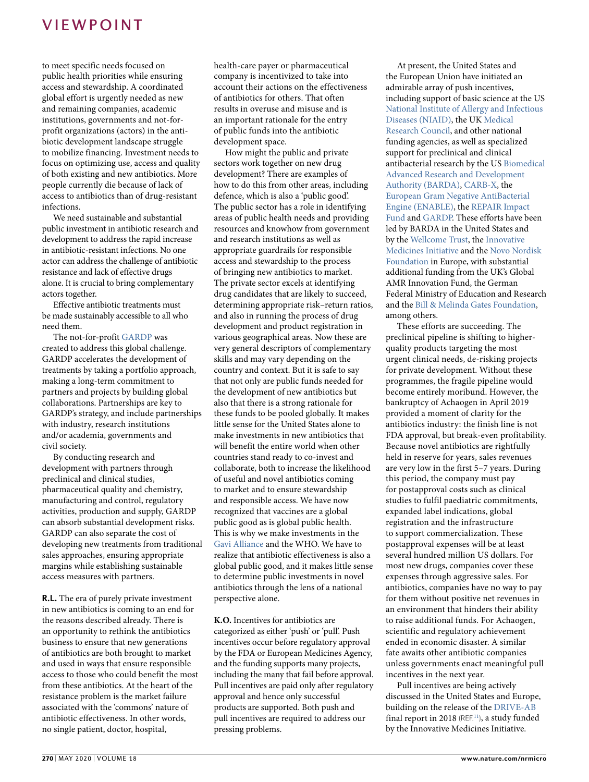to meet specific needs focused on public health priorities while ensuring access and stewardship. A coordinated global effort is urgently needed as new and remaining companies, academic institutions, governments and not-forprofit organizations (actors) in the antibiotic development landscape struggle to mobilize financing. Investment needs to focus on optimizing use, access and quality of both existing and new antibiotics. More people currently die because of lack of access to antibiotics than of drug-resistant infections.

We need sustainable and substantial public investment in antibiotic research and development to address the rapid increase in antibiotic-resistant infections. No one actor can address the challenge of antibiotic resistance and lack of effective drugs alone. It is crucial to bring complementary actors together.

Effective antibiotic treatments must be made sustainably accessible to all who need them.

The not-for-profit GARDP was created to address this global challenge. GARDP accelerates the development of treatments by taking a portfolio approach, making a long-term commitment to partners and projects by building global collaborations. Partnerships are key to GARDP's strategy, and include partnerships with industry, research institutions and/or academia, governments and civil society.

By conducting research and development with partners through preclinical and clinical studies, pharmaceutical quality and chemistry, manufacturing and control, regulatory activities, production and supply, GARDP can absorb substantial development risks. GARDP can also separate the cost of developing new treatments from traditional sales approaches, ensuring appropriate margins while establishing sustainable access measures with partners.

**R.L.** The era of purely private investment in new antibiotics is coming to an end for the reasons described already. There is an opportunity to rethink the antibiotics business to ensure that new generations of antibiotics are both brought to market and used in ways that ensure responsible access to those who could benefit the most from these antibiotics. At the heart of the resistance problem is the market failure associated with the 'commons' nature of antibiotic effectiveness. In other words, no single patient, doctor, hospital,

health-care payer or pharmaceutical company is incentivized to take into account their actions on the effectiveness of antibiotics for others. That often results in overuse and misuse and is an important rationale for the entry of public funds into the antibiotic development space.

How might the public and private sectors work together on new drug development? There are examples of how to do this from other areas, including defence, which is also a 'public good'. The public sector has a role in identifying areas of public health needs and providing resources and knowhow from government and research institutions as well as appropriate guardrails for responsible access and stewardship to the process of bringing new antibiotics to market. The private sector excels at identifying drug candidates that are likely to succeed, determining appropriate risk–return ratios, and also in running the process of drug development and product registration in various geographical areas. Now these are very general descriptors of complementary skills and may vary depending on the country and context. But it is safe to say that not only are public funds needed for the development of new antibiotics but also that there is a strong rationale for these funds to be pooled globally. It makes little sense for the United States alone to make investments in new antibiotics that will benefit the entire world when other countries stand ready to co-invest and collaborate, both to increase the likelihood of useful and novel antibiotics coming to market and to ensure stewardship and responsible access. We have now recognized that vaccines are a global public good as is global public health. This is why we make investments in the Gavi Alliance and the WHO. We have to realize that antibiotic effectiveness is also a global public good, and it makes little sense to determine public investments in novel antibiotics through the lens of a national perspective alone.

**K.O.** Incentives for antibiotics are categorized as either 'push' or 'pull'. Push incentives occur before regulatory approval by the FDA or European Medicines Agency, and the funding supports many projects, including the many that fail before approval. Pull incentives are paid only after regulatory approval and hence only successful products are supported. Both push and pull incentives are required to address our pressing problems.

At present, the United States and the European Union have initiated an admirable array of push incentives, including support of basic science at the US National Institute of Allergy and Infectious Diseases (NIAID), the UK Medical Research Council, and other national funding agencies, as well as specialized support for preclinical and clinical antibacterial research by the US Biomedical Advanced Research and Development Authority (BARDA), CARB-X, the European Gram Negative AntiBacterial Engine (ENABLE), the REPAIR Impact Fund and GARDP. These efforts have been led by BARDA in the United States and by the Wellcome Trust, the Innovative Medicines Initiative and the Novo Nordisk Foundation in Europe, with substantial additional funding from the UK's Global AMR Innovation Fund, the German Federal Ministry of Education and Research and the Bill & Melinda Gates Foundation, among others.

These efforts are succeeding. The preclinical pipeline is shifting to higherquality products targeting the most urgent clinical needs, de-risking projects for private development. Without these programmes, the fragile pipeline would become entirely moribund. However, the bankruptcy of Achaogen in April 2019 provided a moment of clarity for the antibiotics industry: the finish line is not FDA approval, but break-even profitability. Because novel antibiotics are rightfully held in reserve for years, sales revenues are very low in the first 5–7 years. During this period, the company must pay for postapproval costs such as clinical studies to fulfil paediatric commitments, expanded label indications, global registration and the infrastructure to support commercialization. These postapproval expenses will be at least several hundred million US dollars. For most new drugs, companies cover these expenses through aggressive sales. For antibiotics, companies have no way to pay for them without positive net revenues in an environment that hinders their ability to raise additional funds. For Achaogen, scientific and regulatory achievement ended in economic disaster. A similar fate awaits other antibiotic companies unless governments enact meaningful pull incentives in the next year.

Pull incentives are being actively discussed in the United States and Europe, building on the release of the DRIVE-AB final report in 2018 (REF.<sup>11</sup>), a study funded by the Innovative Medicines Initiative.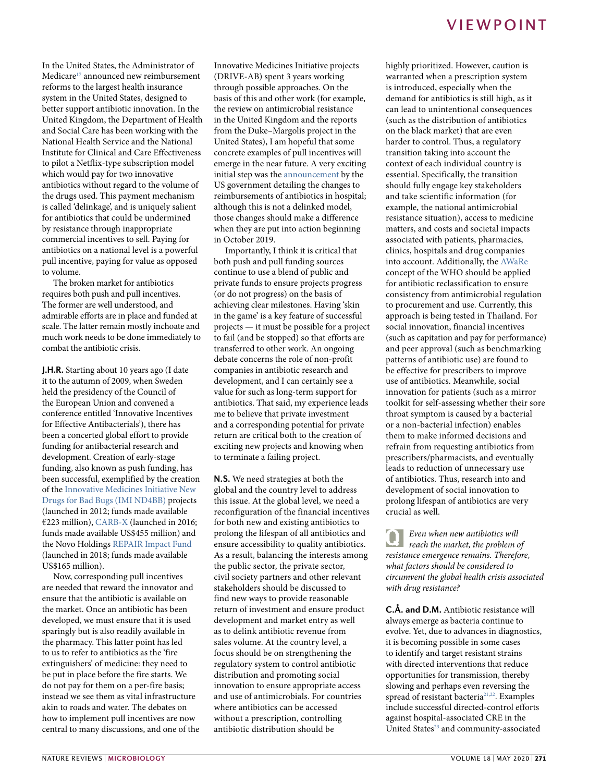In the United States, the Administrator of Medicare<sup>17</sup> announced new reimbursement reforms to the largest health insurance system in the United States, designed to better support antibiotic innovation. In the United Kingdom, the Department of Health and Social Care has been working with the National Health Service and the National Institute for Clinical and Care Effectiveness to pilot a Netflix-type subscription model which would pay for two innovative antibiotics without regard to the volume of the drugs used. This payment mechanism is called 'delinkage', and is uniquely salient for antibiotics that could be undermined by resistance through inappropriate commercial incentives to sell. Paying for antibiotics on a national level is a powerful pull incentive, paying for value as opposed to volume.

The broken market for antibiotics requires both push and pull incentives. The former are well understood, and admirable efforts are in place and funded at scale. The latter remain mostly inchoate and much work needs to be done immediately to combat the antibiotic crisis.

**J.H.R.** Starting about 10 years ago (I date it to the autumn of 2009, when Sweden held the presidency of the Council of the European Union and convened a conference entitled 'Innovative Incentives for Effective Antibacterials'), there has been a concerted global effort to provide funding for antibacterial research and development. Creation of early-stage funding, also known as push funding, has been successful, exemplified by the creation of the Innovative Medicines Initiative New Drugs for Bad Bugs (IMI ND4BB) projects (launched in 2012; funds made available €223 million), CARB-X (launched in 2016; funds made available US\$455 million) and the Novo Holdings REPAIR Impact Fund (launched in 2018; funds made available US\$165 million).

Now, corresponding pull incentives are needed that reward the innovator and ensure that the antibiotic is available on the market. Once an antibiotic has been developed, we must ensure that it is used sparingly but is also readily available in the pharmacy. This latter point has led to us to refer to antibiotics as the 'fire extinguishers' of medicine: they need to be put in place before the fire starts. We do not pay for them on a per-fire basis; instead we see them as vital infrastructure akin to roads and water. The debates on how to implement pull incentives are now central to many discussions, and one of the Innovative Medicines Initiative projects (DRIVE-AB) spent 3 years working through possible approaches. On the basis of this and other work (for example, the review on antimicrobial resistance in the United Kingdom and the reports from the Duke–Margolis project in the United States), I am hopeful that some concrete examples of pull incentives will emerge in the near future. A very exciting initial step was the announcement by the US government detailing the changes to reimbursements of antibiotics in hospital; although this is not a delinked model, those changes should make a difference when they are put into action beginning in October 2019.

Importantly, I think it is critical that both push and pull funding sources continue to use a blend of public and private funds to ensure projects progress (or do not progress) on the basis of achieving clear milestones. Having 'skin in the game' is a key feature of successful projects — it must be possible for a project to fail (and be stopped) so that efforts are transferred to other work. An ongoing debate concerns the role of non-profit companies in antibiotic research and development, and I can certainly see a value for such as long-term support for antibiotics. That said, my experience leads me to believe that private investment and a corresponding potential for private return are critical both to the creation of exciting new projects and knowing when to terminate a failing project.

**N.S.** We need strategies at both the global and the country level to address this issue. At the global level, we need a reconfiguration of the financial incentives for both new and existing antibiotics to prolong the lifespan of all antibiotics and ensure accessibility to quality antibiotics. As a result, balancing the interests among the public sector, the private sector, civil society partners and other relevant stakeholders should be discussed to find new ways to provide reasonable return of investment and ensure product development and market entry as well as to delink antibiotic revenue from sales volume. At the country level, a focus should be on strengthening the regulatory system to control antibiotic distribution and promoting social innovation to ensure appropriate access and use of antimicrobials. For countries where antibiotics can be accessed without a prescription, controlling antibiotic distribution should be

highly prioritized. However, caution is warranted when a prescription system is introduced, especially when the demand for antibiotics is still high, as it can lead to unintentional consequences (such as the distribution of antibiotics on the black market) that are even harder to control. Thus, a regulatory transition taking into account the context of each individual country is essential. Specifically, the transition should fully engage key stakeholders and take scientific information (for example, the national antimicrobial resistance situation), access to medicine matters, and costs and societal impacts associated with patients, pharmacies, clinics, hospitals and drug companies into account. Additionally, the AWaRe concept of the WHO should be applied for antibiotic reclassification to ensure consistency from antimicrobial regulation to procurement and use. Currently, this approach is being tested in Thailand. For social innovation, financial incentives (such as capitation and pay for performance) and peer approval (such as benchmarking patterns of antibiotic use) are found to be effective for prescribers to improve use of antibiotics. Meanwhile, social innovation for patients (such as a mirror toolkit for self-assessing whether their sore throat symptom is caused by a bacterial or a non-bacterial infection) enables them to make informed decisions and refrain from requesting antibiotics from prescribers/pharmacists, and eventually leads to reduction of unnecessary use of antibiotics. Thus, research into and development of social innovation to prolong lifespan of antibiotics are very crucial as well.

*Even when new antibiotics will reach the market, the problem of resistance emergence remains. Therefore, what factors should be considered to circumvent the global health crisis associated with drug resistance?*

**C.Å. and D.M.** Antibiotic resistance will always emerge as bacteria continue to evolve. Yet, due to advances in diagnostics, it is becoming possible in some cases to identify and target resistant strains with directed interventions that reduce opportunities for transmission, thereby slowing and perhaps even reversing the spread of resistant bacteria<sup>21,22</sup>. Examples include successful directed-control efforts against hospital-associated CRE in the United States<sup>23</sup> and community-associated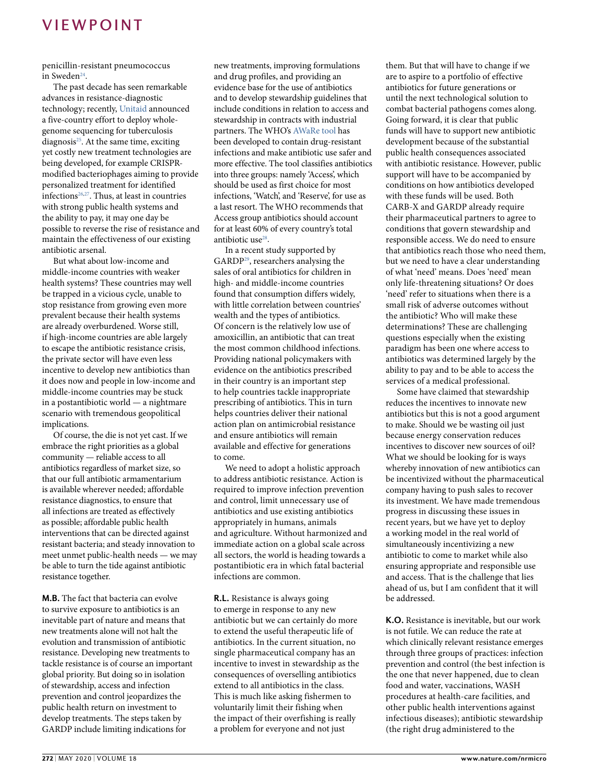penicillin-resistant pneumococcus in Sweden $24$ .

The past decade has seen remarkable advances in resistance-diagnostic technology; recently, Unitaid announced a five-country effort to deploy wholegenome sequencing for tuberculosis diagnosis<sup>25</sup>. At the same time, exciting yet costly new treatment technologies are being developed, for example CRISPRmodified bacteriophages aiming to provide personalized treatment for identified infections<sup>26,27</sup>. Thus, at least in countries with strong public health systems and the ability to pay, it may one day be possible to reverse the rise of resistance and maintain the effectiveness of our existing antibiotic arsenal.

But what about low-income and middle-income countries with weaker health systems? These countries may well be trapped in a vicious cycle, unable to stop resistance from growing even more prevalent because their health systems are already overburdened. Worse still, if high-income countries are able largely to escape the antibiotic resistance crisis, the private sector will have even less incentive to develop new antibiotics than it does now and people in low-income and middle-income countries may be stuck in a postantibiotic world — a nightmare scenario with tremendous geopolitical implications.

Of course, the die is not yet cast. If we embrace the right priorities as a global community — reliable access to all antibiotics regardless of market size, so that our full antibiotic armamentarium is available wherever needed; affordable resistance diagnostics, to ensure that all infections are treated as effectively as possible; affordable public health interventions that can be directed against resistant bacteria; and steady innovation to meet unmet public-health needs — we may be able to turn the tide against antibiotic resistance together.

**M.B.** The fact that bacteria can evolve to survive exposure to antibiotics is an inevitable part of nature and means that new treatments alone will not halt the evolution and transmission of antibiotic resistance. Developing new treatments to tackle resistance is of course an important global priority. But doing so in isolation of stewardship, access and infection prevention and control jeopardizes the public health return on investment to develop treatments. The steps taken by GARDP include limiting indications for

new treatments, improving formulations and drug profiles, and providing an evidence base for the use of antibiotics and to develop stewardship guidelines that include conditions in relation to access and stewardship in contracts with industrial partners. The WHO's AWaRe tool has been developed to contain drug-resistant infections and make antibiotic use safer and more effective. The tool classifies antibiotics into three groups: namely 'Access', which should be used as first choice for most infections, 'Watch', and 'Reserve', for use as a last resort. The WHO recommends that Access group antibiotics should account for at least 60% of every country's total antibiotic use $28$ .

In a recent study supported by GARDP29, researchers analysing the sales of oral antibiotics for children in high- and middle-income countries found that consumption differs widely, with little correlation between countries' wealth and the types of antibiotics. Of concern is the relatively low use of amoxicillin, an antibiotic that can treat the most common childhood infections. Providing national policymakers with evidence on the antibiotics prescribed in their country is an important step to help countries tackle inappropriate prescribing of antibiotics. This in turn helps countries deliver their national action plan on antimicrobial resistance and ensure antibiotics will remain available and effective for generations to come.

We need to adopt a holistic approach to address antibiotic resistance. Action is required to improve infection prevention and control, limit unnecessary use of antibiotics and use existing antibiotics appropriately in humans, animals and agriculture. Without harmonized and immediate action on a global scale across all sectors, the world is heading towards a postantibiotic era in which fatal bacterial infections are common.

**R.L.** Resistance is always going to emerge in response to any new antibiotic but we can certainly do more to extend the useful therapeutic life of antibiotics. In the current situation, no single pharmaceutical company has an incentive to invest in stewardship as the consequences of overselling antibiotics extend to all antibiotics in the class. This is much like asking fishermen to voluntarily limit their fishing when the impact of their overfishing is really a problem for everyone and not just

them. But that will have to change if we are to aspire to a portfolio of effective antibiotics for future generations or until the next technological solution to combat bacterial pathogens comes along. Going forward, it is clear that public funds will have to support new antibiotic development because of the substantial public health consequences associated with antibiotic resistance. However, public support will have to be accompanied by conditions on how antibiotics developed with these funds will be used. Both CARB-X and GARDP already require their pharmaceutical partners to agree to conditions that govern stewardship and responsible access. We do need to ensure that antibiotics reach those who need them, but we need to have a clear understanding of what 'need' means. Does 'need' mean only life-threatening situations? Or does 'need' refer to situations when there is a small risk of adverse outcomes without the antibiotic? Who will make these determinations? These are challenging questions especially when the existing paradigm has been one where access to antibiotics was determined largely by the ability to pay and to be able to access the services of a medical professional.

Some have claimed that stewardship reduces the incentives to innovate new antibiotics but this is not a good argument to make. Should we be wasting oil just because energy conservation reduces incentives to discover new sources of oil? What we should be looking for is ways whereby innovation of new antibiotics can be incentivized without the pharmaceutical company having to push sales to recover its investment. We have made tremendous progress in discussing these issues in recent years, but we have yet to deploy a working model in the real world of simultaneously incentivizing a new antibiotic to come to market while also ensuring appropriate and responsible use and access. That is the challenge that lies ahead of us, but I am confident that it will be addressed.

**K.O.** Resistance is inevitable, but our work is not futile. We can reduce the rate at which clinically relevant resistance emerges through three groups of practices: infection prevention and control (the best infection is the one that never happened, due to clean food and water, vaccinations, WASH procedures at health-care facilities, and other public health interventions against infectious diseases); antibiotic stewardship (the right drug administered to the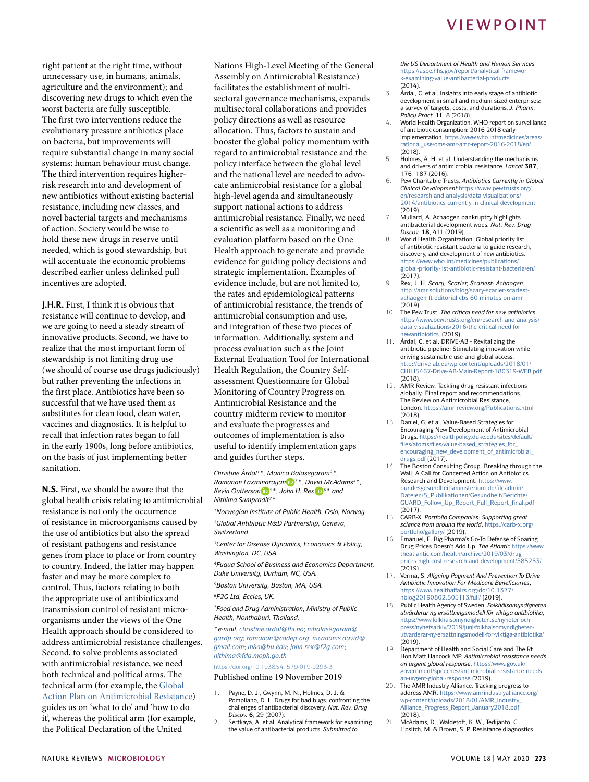right patient at the right time, without unnecessary use, in humans, animals, agriculture and the environment); and discovering new drugs to which even the worst bacteria are fully susceptible. The first two interventions reduce the evolutionary pressure antibiotics place on bacteria, but improvements will require substantial change in many social systems: human behaviour must change. The third intervention requires higherrisk research into and development of new antibiotics without existing bacterial resistance, including new classes, and novel bacterial targets and mechanisms of action. Society would be wise to hold these new drugs in reserve until needed, which is good stewardship, but will accentuate the economic problems described earlier unless delinked pull incentives are adopted.

**J.H.R.** First, I think it is obvious that resistance will continue to develop, and we are going to need a steady stream of innovative products. Second, we have to realize that the most important form of stewardship is not limiting drug use (we should of course use drugs judiciously) but rather preventing the infections in the first place. Antibiotics have been so successful that we have used them as substitutes for clean food, clean water, vaccines and diagnostics. It is helpful to recall that infection rates began to fall in the early 1900s, long before antibiotics, on the basis of just implementing better sanitation.

**N.S.** First, we should be aware that the global health crisis relating to antimicrobial resistance is not only the occurrence of resistance in microorganisms caused by the use of antibiotics but also the spread of resistant pathogens and resistance genes from place to place or from country to country. Indeed, the latter may happen faster and may be more complex to control. Thus, factors relating to both the appropriate use of antibiotics and transmission control of resistant microorganisms under the views of the One Health approach should be considered to address antimicrobial resistance challenges. Second, to solve problems associated with antimicrobial resistance, we need both technical and political arms. The technical arm (for example, the Global Action Plan on Antimicrobial Resistance) guides us on 'what to do' and 'how to do it', whereas the political arm (for example, the Political Declaration of the United

Nations High-Level Meeting of the General Assembly on Antimicrobial Resistance) facilitates the establishment of multisectoral governance mechanisms, expands multisectoral collaborations and provides policy directions as well as resource allocation. Thus, factors to sustain and booster the global policy momentum with regard to antimicrobial resistance and the policy interface between the global level and the national level are needed to advocate antimicrobial resistance for a global high-level agenda and simultaneously support national actions to address antimicrobial resistance. Finally, we need a scientific as well as a monitoring and evaluation platform based on the One Health approach to generate and provide evidence for guiding policy decisions and strategic implementation. Examples of evidence include, but are not limited to, the rates and epidemiological patterns of antimicrobial resistance, the trends of antimicrobial consumption and use, and integration of these two pieces of information. Additionally, system and process evaluation such as the Joint External Evaluation Tool for International Health Regulation, the Country Selfassessment Questionnaire for Global Monitoring of Country Progress on Antimicrobial Resistance and the country midterm review to monitor and evaluate the progresses and outcomes of implementation is also useful to identify implementation gaps and guides further steps.

*Christine Årdal1\*, Manica Balasegaram2\*, Ramanan Laxminarayan 3\*, David McAdams4\*, Kevin Outterson 5\*, John H. Rex 6\* and Nithima Sumpradit7\**

*1Norwegian Institute of Public Health, Oslo, Norway. 2Global Antibiotic R&D Partnership, Geneva, Switzerland.*

*3Center for Disease Dynamics, Economics & Policy, Washington, DC, USA.*

*4Fuqua School of Business and Economics Department, Duke University, Durham, NC, USA.*

*5Boston University, Boston, MA, USA.*

#### *6F2G Ltd, Eccles, UK.*

*7Food and Drug Administration, Ministry of Public Health, Nonthaburi, Thailand.*

*\*e-mail: christine.ardal@fhi.no*; *mbalasegaram@ gardp.org*; *ramanan@cddep.org*; *mcadams.david@ gmail.com*; *mko@bu.edu*; *john.rex@f2g.com*; *nithima@fda.moph.go.th*

https://doi.org/10.1038/s41579-019-0293-3

Published online 19 November 2019

- Payne, D. J., Gwynn, M. N., Holmes, D. J. & Pompliano, D. L. Drugs for bad bugs: confronting the challenges of antibacterial discovery. *Nat. Rev. Drug Discov.* **6**, 29 (2007).
- 2. Sertkaya, A. et al. Analytical framework for examining the value of antibacterial products. *Submitted to*

*the US Department of Health and Human Services* https://aspe.hhs.gov/report/analytical-frameword k-examining-value-antibacterial-products (2014).

- 3. Årdal, C. et al. Insights into early stage of antibiotic development in small-and medium-sized enterprises: a survey of targets, costs, and durations. *J. Pharm. Policy Pract.* **11**, 8 (2018).
- 4. World Health Organization. WHO report on surveillance of antibiotic consumption: 2016-2018 early implementation. https://www.who.int/medicines/areas/ rational\_use/oms-amr-amc-report-2016-2018/en/ (2018).
- 5. Holmes, A. H. et al. Understanding the mechanisms and drivers of antimicrobial resistance. *Lancet* **387**, 176–187 (2016).
- 6. Pew Charitable Trusts. *Antibiotics Currently in Global Clinical Development* https://www.pewtrusts.org/ en/research-and-analysis/data-visualizations/ 2014/antibiotics-currently-in-clinical-development
- (2019). 7. Mullard, A. Achaogen bankruptcy highlights antibacterial development woes. *Nat. Rev. Drug Discov.* **18**, 411 (2019).
- 8. World Health Organization. Global priority list of antibiotic-resistant bacteria to guide research, discovery, and development of new antibiotics. https://www.who.int/medicines/publications/ global-priority-list-antibiotic-resistant-bacteria/en/ (2017).
- 9. Rex, J. H. *Scary, Scarier, Scariest: Achaogen*, http://amr.solutions/blog/scary-scarier-scariestachaogen-ft-editorial-cbs-60-minutes-on-amr (2019).
- 10. The Pew Trust. *The critical need for new antibiotics*. https://www.pewtrusts.org/en/research-and-analysis/ data-visualizations/2016/the-critical-need-fornewantibiotics. (2019)
- Årdal, C. et al. DRIVE-AB Revitalizing the antibiotic pipeline: Stimulating innovation while driving sustainable use and global access. http://drive-ab.eu/wp-content/uploads/2018/01/ CHHJ5467-Drive-AB-Main-Report-180319-WEB.pdf (2018).
- 12. AMR Review. Tackling drug-resistant infections globally: Final report and recommendations. The Review on Antimicrobial Resistance, London. https://amr-review.org/Publications.html (2018)
- 13. Daniel, G. et al. Value-Based Strategies for Encouraging New Development of Antimicrobial Drugs. https://healthpolicy.duke.edu/sites/default/ files/atoms/files/value-based\_strategies\_for encouraging\_new\_development\_of\_antimicrobial drugs.pdf (2017).
- 14. The Boston Consulting Group. Breaking through the Wall: A Call for Concerted Action on Antibiotics Research and Development. https://www. bundesgesundheitsministerium.de/fileadmin/ Dateien/5\_Publikationen/Gesundheit/Berichte/ GUARD\_Follow\_Up\_Report\_Full\_Report\_final.pdf (2017).
- 15. CARB-X. *Portfolio Companies: Supporting great science from around the world*, https://carb-x.org/ portfolio/gallery/ (2019).
- 16. Emanuel, E. Big Pharma's Go-To Defense of Soaring Drug Prices Doesn't Add Up. *The Atlantic* https://www. theatlantic.com/health/archive/2019/03/drugprices-high-cost-research-and-development/585253/  $(2019)$ .
- 17. Verma, S. *Aligning Payment And Prevention To Drive Antibiotic Innovation For Medicare Beneficiaries*, https://www.healthaffairs.org/do/10.1377/ hblog20190802.505113/full/ (2019).
- 18. Public Health Agency of Sweden. *Folkhälsomyndigheten utvärderar ny ersättningsmodell för viktiga antibiotika*, https://www.folkhalsomyndigheten.se/nyheter-ochpress/nyhetsarkiv/2019/juni/folkhalsomyndighetenutvarderar-ny-ersattningsmodell-for-viktiga-antibiotika/ (2019).
- 19. Department of Health and Social Care and The Rt Hon Matt Hancock MP. *Antimicrobial resistance needs an urgent global response*, https://www.gov.uk/ government/speeches/antimicrobial-resistance-needsan-urgent-global-response (2019).
- 20. The AMR Industry Alliance. Tracking progress to address AMR. https://www.amrindustryalliance.org/ wp-content/uploads/2018/01/AMR\_Industry\_ Alliance Progress Report January2018.pdf (2018).
- 21. McAdams, D., Waldetoft, K. W., Tedijanto, C., Lipsitch, M. & Brown, S. P. Resistance diagnostics